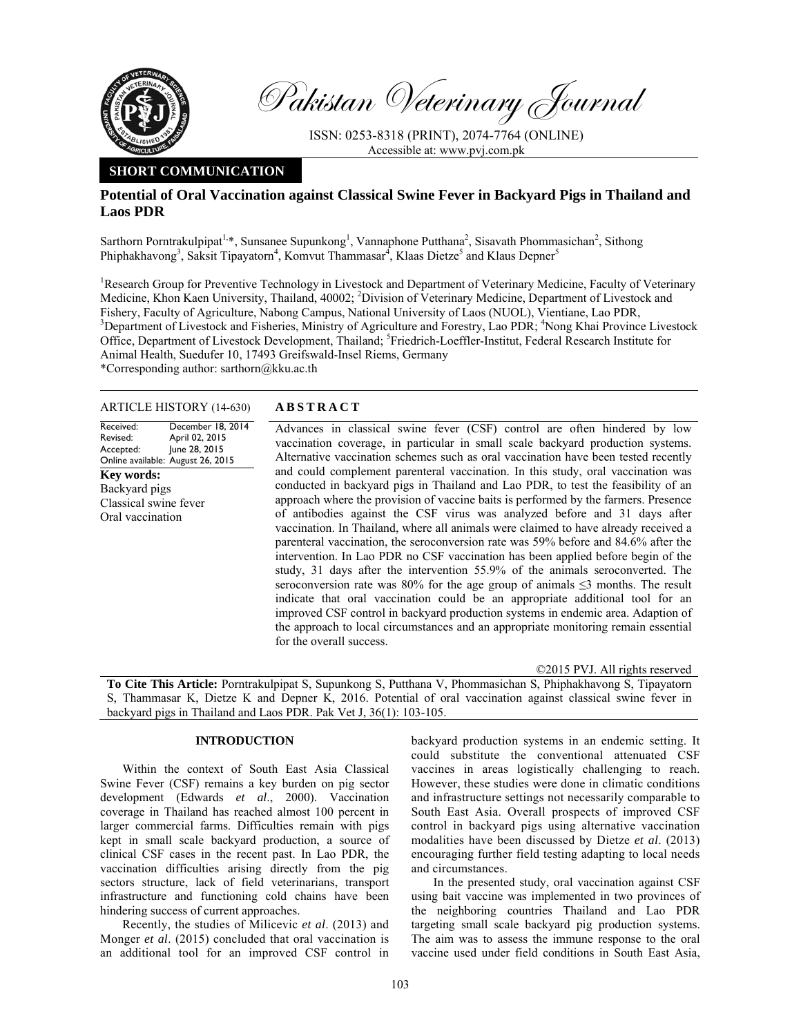

Pakistan Veterinary Journal

ISSN: 0253-8318 (PRINT), 2074-7764 (ONLINE) Accessible at: www.pvj.com.pk

# **SHORT COMMUNICATION**

# **Potential of Oral Vaccination against Classical Swine Fever in Backyard Pigs in Thailand and Laos PDR**

Sarthorn Porntrakulpipat<sup>1,\*</sup>, Sunsanee Supunkong<sup>1</sup>, Vannaphone Putthana<sup>2</sup>, Sisavath Phommasichan<sup>2</sup>, Sithong Phiphakhavong<sup>3</sup>, Saksit Tipayatorn<sup>4</sup>, Komvut Thammasar<sup>4</sup>, Klaas Dietze<sup>5</sup> and Klaus Depner<sup>5</sup>

<sup>1</sup>Research Group for Preventive Technology in Livestock and Department of Veterinary Medicine, Faculty of Veterinary Medicine, Khon Kaen University, Thailand, 40002; <sup>2</sup>Division of Veterinary Medicine, Department of Livestock and Fishery, Faculty of Agriculture, Nabong Campus, National University of Laos (NUOL), Vientiane, Lao PDR, <sup>3</sup>Department of Livestock and Fisheries, Ministry of Agriculture and Forestry, Lao PDR; <sup>4</sup>Nong Khai Province Livestock Office, Department of Livestock Development, Thailand; <sup>5</sup>Friedrich-Loeffler-Institut, Federal Research Institute for Animal Health, Suedufer 10, 17493 Greifswald-Insel Riems, Germany \*Corresponding author: sarthorn@kku.ac.th

#### ARTICLE HISTORY (14-630) **ABSTRACT**

Received: Revised: Accepted: Online available: August 26, 2015 December 18, 2014 April 02, 2015 June 28, 2015 **Key words:**  Backyard pigs Classical swine fever Oral vaccination

 Advances in classical swine fever (CSF) control are often hindered by low vaccination coverage, in particular in small scale backyard production systems. Alternative vaccination schemes such as oral vaccination have been tested recently and could complement parenteral vaccination. In this study, oral vaccination was conducted in backyard pigs in Thailand and Lao PDR, to test the feasibility of an approach where the provision of vaccine baits is performed by the farmers. Presence of antibodies against the CSF virus was analyzed before and 31 days after vaccination. In Thailand, where all animals were claimed to have already received a parenteral vaccination, the seroconversion rate was 59% before and 84.6% after the intervention. In Lao PDR no CSF vaccination has been applied before begin of the study, 31 days after the intervention 55.9% of the animals seroconverted. The seroconversion rate was 80% for the age group of animals  $\leq$ 3 months. The result indicate that oral vaccination could be an appropriate additional tool for an improved CSF control in backyard production systems in endemic area. Adaption of the approach to local circumstances and an appropriate monitoring remain essential for the overall success.

©2015 PVJ. All rights reserved

**To Cite This Article:** Porntrakulpipat S, Supunkong S, Putthana V, Phommasichan S, Phiphakhavong S, Tipayatorn S, Thammasar K, Dietze K and Depner K, 2016. Potential of oral vaccination against classical swine fever in backyard pigs in Thailand and Laos PDR. Pak Vet J, 36(1): 103-105.

## **INTRODUCTION**

Within the context of South East Asia Classical Swine Fever (CSF) remains a key burden on pig sector development (Edwards *et al*., 2000). Vaccination coverage in Thailand has reached almost 100 percent in larger commercial farms. Difficulties remain with pigs kept in small scale backyard production, a source of clinical CSF cases in the recent past. In Lao PDR, the vaccination difficulties arising directly from the pig sectors structure, lack of field veterinarians, transport infrastructure and functioning cold chains have been hindering success of current approaches.

Recently, the studies of Milicevic *et al*. (2013) and Monger *et al*. (2015) concluded that oral vaccination is an additional tool for an improved CSF control in

backyard production systems in an endemic setting. It could substitute the conventional attenuated CSF vaccines in areas logistically challenging to reach. However, these studies were done in climatic conditions and infrastructure settings not necessarily comparable to South East Asia. Overall prospects of improved CSF control in backyard pigs using alternative vaccination modalities have been discussed by Dietze *et al*. (2013) encouraging further field testing adapting to local needs and circumstances.

In the presented study, oral vaccination against CSF using bait vaccine was implemented in two provinces of the neighboring countries Thailand and Lao PDR targeting small scale backyard pig production systems. The aim was to assess the immune response to the oral vaccine used under field conditions in South East Asia,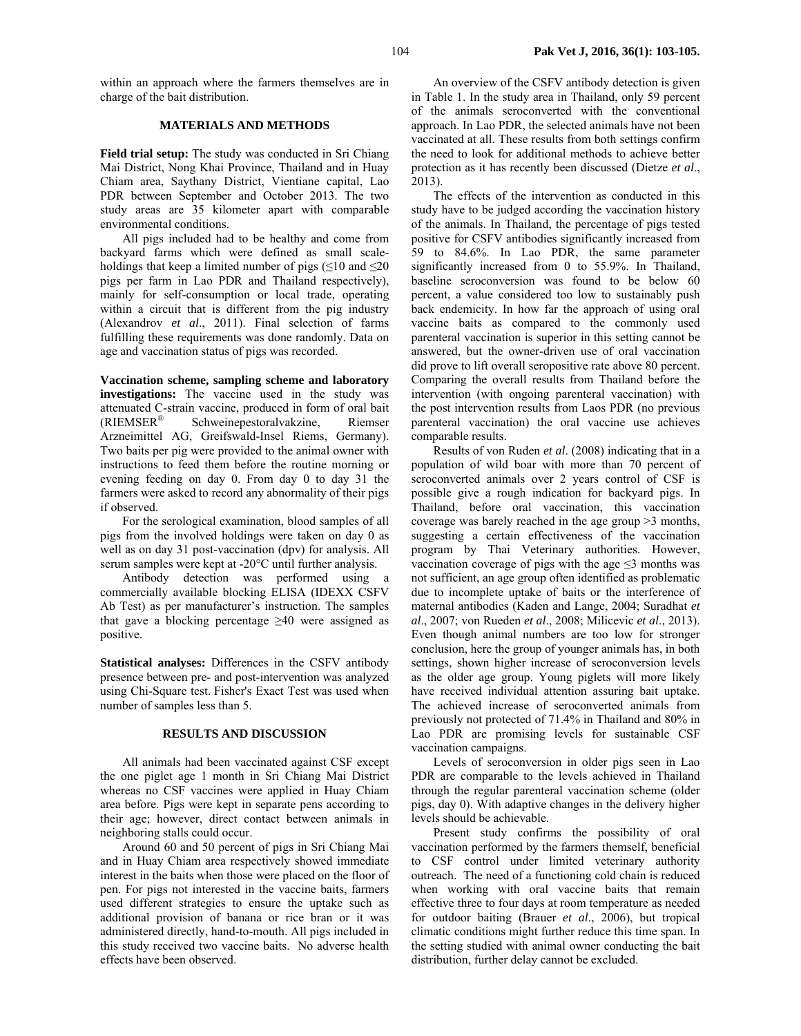within an approach where the farmers themselves are in charge of the bait distribution.

## **MATERIALS AND METHODS**

**Field trial setup:** The study was conducted in Sri Chiang Mai District, Nong Khai Province, Thailand and in Huay Chiam area, Saythany District, Vientiane capital, Lao PDR between September and October 2013. The two study areas are 35 kilometer apart with comparable environmental conditions.

All pigs included had to be healthy and come from backyard farms which were defined as small scaleholdings that keep a limited number of pigs ( $\leq 10$  and  $\leq 20$ pigs per farm in Lao PDR and Thailand respectively), mainly for self-consumption or local trade, operating within a circuit that is different from the pig industry (Alexandrov *et al*., 2011). Final selection of farms fulfilling these requirements was done randomly. Data on age and vaccination status of pigs was recorded.

**Vaccination scheme, sampling scheme and laboratory investigations:** The vaccine used in the study was attenuated C-strain vaccine, produced in form of oral bait (RIEMSER® Schweinepestoralvakzine, Riemser Arzneimittel AG, Greifswald-Insel Riems, Germany). Two baits per pig were provided to the animal owner with instructions to feed them before the routine morning or evening feeding on day 0. From day 0 to day 31 the farmers were asked to record any abnormality of their pigs if observed.

For the serological examination, blood samples of all pigs from the involved holdings were taken on day 0 as well as on day 31 post-vaccination (dpv) for analysis. All serum samples were kept at -20°C until further analysis.

Antibody detection was performed using a commercially available blocking ELISA (IDEXX CSFV Ab Test) as per manufacturer's instruction. The samples that gave a blocking percentage  $\geq 40$  were assigned as positive.

**Statistical analyses:** Differences in the CSFV antibody presence between pre- and post-intervention was analyzed using Chi-Square test. Fisher's Exact Test was used when number of samples less than 5.

## **RESULTS AND DISCUSSION**

All animals had been vaccinated against CSF except the one piglet age 1 month in Sri Chiang Mai District whereas no CSF vaccines were applied in Huay Chiam area before. Pigs were kept in separate pens according to their age; however, direct contact between animals in neighboring stalls could occur.

Around 60 and 50 percent of pigs in Sri Chiang Mai and in Huay Chiam area respectively showed immediate interest in the baits when those were placed on the floor of pen. For pigs not interested in the vaccine baits, farmers used different strategies to ensure the uptake such as additional provision of banana or rice bran or it was administered directly, hand-to-mouth. All pigs included in this study received two vaccine baits. No adverse health effects have been observed.

An overview of the CSFV antibody detection is given in Table 1. In the study area in Thailand, only 59 percent of the animals seroconverted with the conventional approach. In Lao PDR, the selected animals have not been vaccinated at all. These results from both settings confirm the need to look for additional methods to achieve better protection as it has recently been discussed (Dietze *et al*., 2013).

The effects of the intervention as conducted in this study have to be judged according the vaccination history of the animals. In Thailand, the percentage of pigs tested positive for CSFV antibodies significantly increased from 59 to 84.6%. In Lao PDR, the same parameter significantly increased from 0 to 55.9%. In Thailand, baseline seroconversion was found to be below 60 percent, a value considered too low to sustainably push back endemicity. In how far the approach of using oral vaccine baits as compared to the commonly used parenteral vaccination is superior in this setting cannot be answered, but the owner-driven use of oral vaccination did prove to lift overall seropositive rate above 80 percent. Comparing the overall results from Thailand before the intervention (with ongoing parenteral vaccination) with the post intervention results from Laos PDR (no previous parenteral vaccination) the oral vaccine use achieves comparable results.

Results of von Ruden *et al*. (2008) indicating that in a population of wild boar with more than 70 percent of seroconverted animals over 2 years control of CSF is possible give a rough indication for backyard pigs. In Thailand, before oral vaccination, this vaccination coverage was barely reached in the age group >3 months, suggesting a certain effectiveness of the vaccination program by Thai Veterinary authorities. However, vaccination coverage of pigs with the age  $\leq$ 3 months was not sufficient, an age group often identified as problematic due to incomplete uptake of baits or the interference of maternal antibodies (Kaden and Lange, 2004; Suradhat *et al*., 2007; von Rueden *et al*., 2008; Milicevic *et al*., 2013). Even though animal numbers are too low for stronger conclusion, here the group of younger animals has, in both settings, shown higher increase of seroconversion levels as the older age group. Young piglets will more likely have received individual attention assuring bait uptake. The achieved increase of seroconverted animals from previously not protected of 71.4% in Thailand and 80% in Lao PDR are promising levels for sustainable CSF vaccination campaigns.

Levels of seroconversion in older pigs seen in Lao PDR are comparable to the levels achieved in Thailand through the regular parenteral vaccination scheme (older pigs, day 0). With adaptive changes in the delivery higher levels should be achievable.

Present study confirms the possibility of oral vaccination performed by the farmers themself, beneficial to CSF control under limited veterinary authority outreach. The need of a functioning cold chain is reduced when working with oral vaccine baits that remain effective three to four days at room temperature as needed for outdoor baiting (Brauer *et al*., 2006), but tropical climatic conditions might further reduce this time span. In the setting studied with animal owner conducting the bait distribution, further delay cannot be excluded.